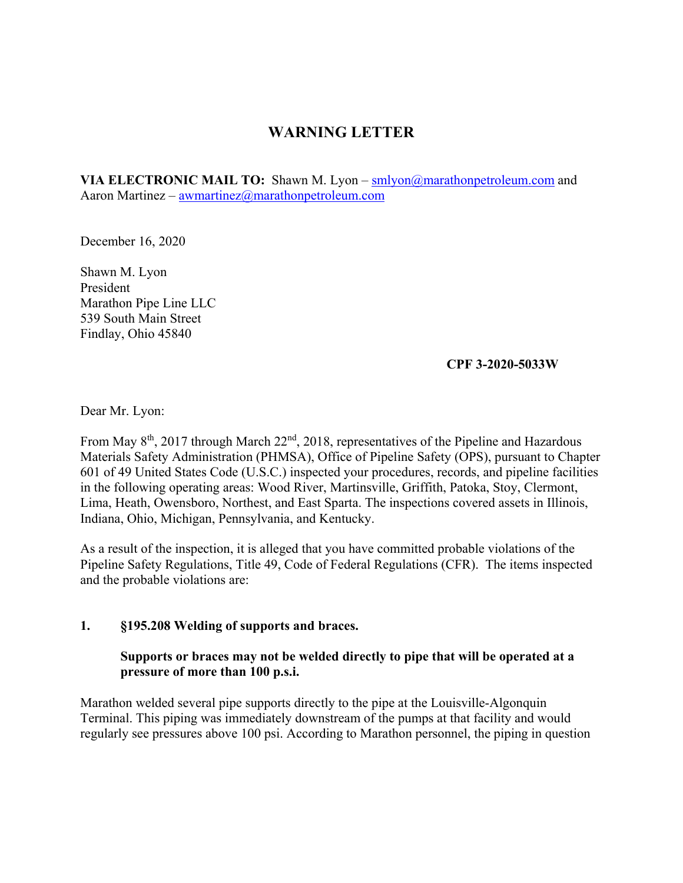# **WARNING LETTER**

Aaron Martinez – <u>awmartinez@marathonpetroleum.com</u><br>December 16, 2020 **VIA ELECTRONIC MAIL TO:** Shawn M. Lyon – [smlyon@marathonpetroleum.com](mailto:smlyon@marathonpetroleum.com) and

Shawn M. Lyon President Marathon Pipe Line LLC 539 South Main Street Findlay, Ohio 45840

### **CPF 3-2020-5033W**

Dear Mr. Lyon:

From May 8<sup>th</sup>, 2017 through March 22<sup>nd</sup>, 2018, representatives of the Pipeline and Hazardous Materials Safety Administration (PHMSA), Office of Pipeline Safety (OPS), pursuant to Chapter 601 of 49 United States Code (U.S.C.) inspected your procedures, records, and pipeline facilities in the following operating areas: Wood River, Martinsville, Griffith, Patoka, Stoy, Clermont, Lima, Heath, Owensboro, Northest, and East Sparta. The inspections covered assets in Illinois, Indiana, Ohio, Michigan, Pennsylvania, and Kentucky.

As a result of the inspection, it is alleged that you have committed probable violations of the Pipeline Safety Regulations, Title 49, Code of Federal Regulations (CFR). The items inspected and the probable violations are:

### **1. §195.208 Welding of supports and braces.**

### **Supports or braces may not be welded directly to pipe that will be operated at a pressure of more than 100 p.s.i.**

Marathon welded several pipe supports directly to the pipe at the Louisville-Algonquin Terminal. This piping was immediately downstream of the pumps at that facility and would regularly see pressures above 100 psi. According to Marathon personnel, the piping in question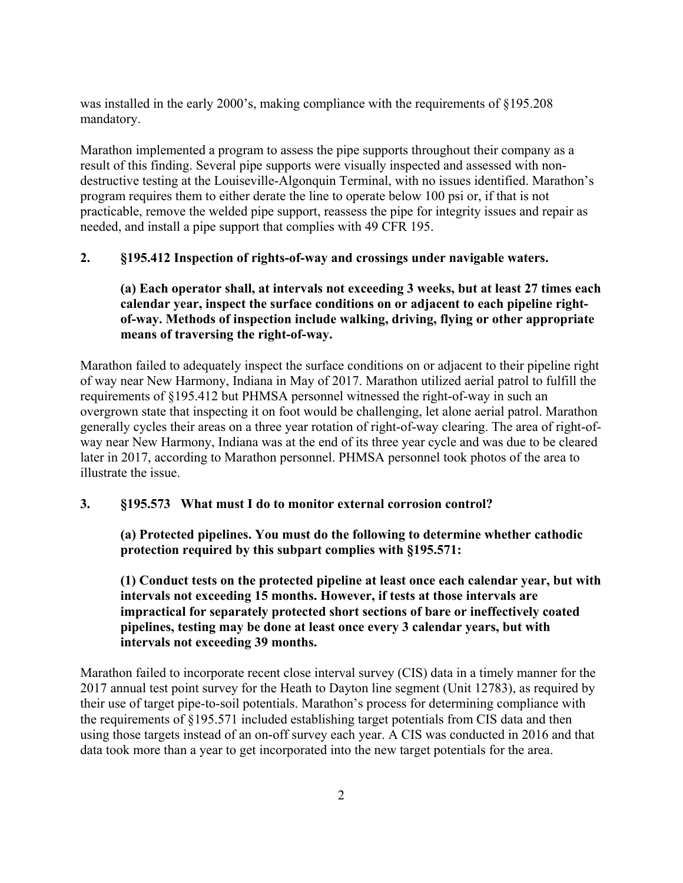was installed in the early 2000's, making compliance with the requirements of §195.208 mandatory.

Marathon implemented a program to assess the pipe supports throughout their company as a result of this finding. Several pipe supports were visually inspected and assessed with nondestructive testing at the Louiseville-Algonquin Terminal, with no issues identified. Marathon's program requires them to either derate the line to operate below 100 psi or, if that is not practicable, remove the welded pipe support, reassess the pipe for integrity issues and repair as needed, and install a pipe support that complies with 49 CFR 195.

### **2. §195.412 Inspection of rights-of-way and crossings under navigable waters.**

## **(a) Each operator shall, at intervals not exceeding 3 weeks, but at least 27 times each calendar year, inspect the surface conditions on or adjacent to each pipeline rightof-way. Methods of inspection include walking, driving, flying or other appropriate means of traversing the right-of-way.**

Marathon failed to adequately inspect the surface conditions on or adjacent to their pipeline right of way near New Harmony, Indiana in May of 2017. Marathon utilized aerial patrol to fulfill the requirements of §195.412 but PHMSA personnel witnessed the right-of-way in such an overgrown state that inspecting it on foot would be challenging, let alone aerial patrol. Marathon generally cycles their areas on a three year rotation of right-of-way clearing. The area of right-ofway near New Harmony, Indiana was at the end of its three year cycle and was due to be cleared later in 2017, according to Marathon personnel. PHMSA personnel took photos of the area to illustrate the issue.

### **3. §195.573 What must I do to monitor external corrosion control?**

**(a) Protected pipelines. You must do the following to determine whether cathodic protection required by this subpart complies with §195.571:** 

**(1) Conduct tests on the protected pipeline at least once each calendar year, but with intervals not exceeding 15 months. However, if tests at those intervals are impractical for separately protected short sections of bare or ineffectively coated pipelines, testing may be done at least once every 3 calendar years, but with intervals not exceeding 39 months.** 

Marathon failed to incorporate recent close interval survey (CIS) data in a timely manner for the 2017 annual test point survey for the Heath to Dayton line segment (Unit 12783), as required by their use of target pipe-to-soil potentials. Marathon's process for determining compliance with the requirements of §195.571 included establishing target potentials from CIS data and then using those targets instead of an on-off survey each year. A CIS was conducted in 2016 and that data took more than a year to get incorporated into the new target potentials for the area.